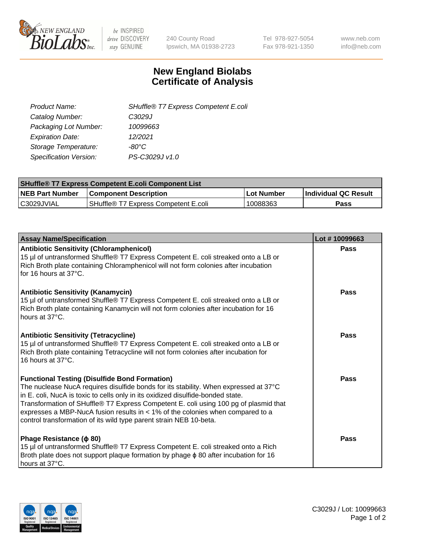

 $be$  INSPIRED drive DISCOVERY stay GENUINE

240 County Road Ipswich, MA 01938-2723 Tel 978-927-5054 Fax 978-921-1350 www.neb.com info@neb.com

## **New England Biolabs Certificate of Analysis**

| SHuffle® T7 Express Competent E.coli |
|--------------------------------------|
| C3029J                               |
| 10099663                             |
| 12/2021                              |
| -80°C                                |
| PS-C3029J v1.0                       |
|                                      |

| <b>SHuffle<sup>®</sup> T7 Express Competent E.coli Component List</b> |                                      |            |                             |  |
|-----------------------------------------------------------------------|--------------------------------------|------------|-----------------------------|--|
| <b>NEB Part Number</b>                                                | <b>Component Description</b>         | Lot Number | <b>Individual QC Result</b> |  |
| C3029JVIAL                                                            | SHuffle® T7 Express Competent E.coli | 10088363   | Pass                        |  |

| <b>Assay Name/Specification</b>                                                                                                                                                                                                                                                                                                                                                                                                                                                   | Lot #10099663 |
|-----------------------------------------------------------------------------------------------------------------------------------------------------------------------------------------------------------------------------------------------------------------------------------------------------------------------------------------------------------------------------------------------------------------------------------------------------------------------------------|---------------|
| <b>Antibiotic Sensitivity (Chloramphenicol)</b><br>15 µl of untransformed Shuffle® T7 Express Competent E. coli streaked onto a LB or<br>Rich Broth plate containing Chloramphenicol will not form colonies after incubation<br>for 16 hours at 37°C.                                                                                                                                                                                                                             | Pass          |
| <b>Antibiotic Sensitivity (Kanamycin)</b><br>15 µl of untransformed Shuffle® T7 Express Competent E. coli streaked onto a LB or<br>Rich Broth plate containing Kanamycin will not form colonies after incubation for 16<br>hours at 37°C.                                                                                                                                                                                                                                         | Pass          |
| <b>Antibiotic Sensitivity (Tetracycline)</b><br>15 µl of untransformed Shuffle® T7 Express Competent E. coli streaked onto a LB or<br>Rich Broth plate containing Tetracycline will not form colonies after incubation for<br>16 hours at 37°C.                                                                                                                                                                                                                                   | Pass          |
| <b>Functional Testing (Disulfide Bond Formation)</b><br>The nuclease NucA requires disulfide bonds for its stability. When expressed at 37°C<br>in E. coli, NucA is toxic to cells only in its oxidized disulfide-bonded state.<br>Transformation of SHuffle® T7 Express Competent E. coli using 100 pg of plasmid that<br>expresses a MBP-NucA fusion results in $<$ 1% of the colonies when compared to a<br>control transformation of its wild type parent strain NEB 10-beta. | Pass          |
| Phage Resistance ( $\phi$ 80)<br>15 µl of untransformed Shuffle® T7 Express Competent E. coli streaked onto a Rich<br>Broth plate does not support plaque formation by phage $\phi$ 80 after incubation for 16<br>hours at 37°C.                                                                                                                                                                                                                                                  | Pass          |